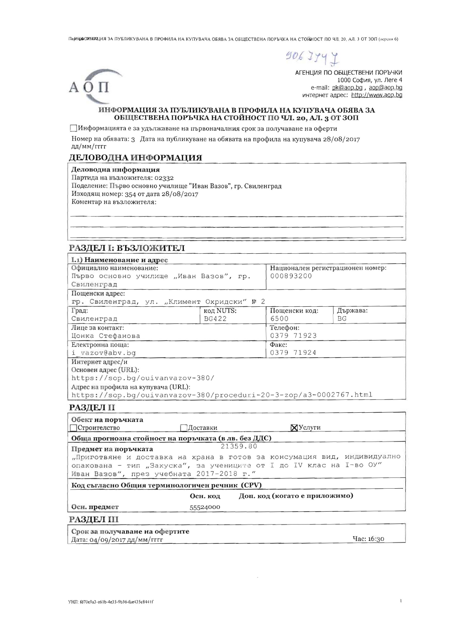ПарнуфОРХОРЦИЯ ЗА ПУБЛИКУВАНА В ПРОФИЛА НА КУПУВАЧА ОБЯВА ЗА ОБЩЕСТВЕНА ПОРЪЧКА НА СТОЙНОСТ ПО ЧЛ. 20, АЛ. 3 ОТ ЗОП (версия 6)



АГЕНЦИЯ ПО ОБЩЕСТВЕНИ ПОРЪЧКИ 1000 София, ул. Леге 4 e-mail: pk@aop.bg, aop@aop.bg интернет адрес: http://www.aop.bg

#### ИНФОРМАЦИЯ ЗА ПУБЛИКУВАНА В ПРОФИЛА НА КУПУВАЧА ОБЯВА ЗА ОБЩЕСТВЕНА ПОРЪЧКА НА СТОЙНОСТ ПО ЧЛ. 20, АЛ. 3 ОТ ЗОП

ПИнформацията е за удължаване на първоначалния срок за получаване на оферти

Номер на обявата: 3 Дата на публикуване на обявата на профила на купувача 28/08/2017 дд/мм/гггг

#### ДЕЛОВОДНА ИНФОРМАЦИЯ

Деловодна информация

AОП

Партида на възложителя: 02332 Поделение: Първо основно училище "Иван Вазов", гр. Свиленград Изходящ номер: 354 от дата 28/08/2017 Коментар на възложителя:

# РАЗДЕЛ І: ВЪЗЛОЖИТЕЛ

| I.1) Наименование и адрес<br>Официално наименование:              |              | Национален регистрационен номер: |           |
|-------------------------------------------------------------------|--------------|----------------------------------|-----------|
| Първо основно училище "Иван Вазов", гр.                           |              | 000893200                        |           |
| Свиленград                                                        |              |                                  |           |
| Пощенски адрес:                                                   |              |                                  |           |
| гр. Свиленград, ул. "Климент Охридски" № 2                        |              |                                  |           |
| Град:                                                             | код NUTS:    | Пощенски код:                    | Държава:  |
| Свиленград                                                        | <b>BG422</b> | 6500                             | <b>BG</b> |
| Лице за контакт:                                                  |              | Телефон:                         |           |
| Цонка Стефанова                                                   |              | 0379 71923                       |           |
| Електронна поща:                                                  |              | Факс:                            |           |
| i vazov@abv.bq                                                    |              | 0379 71924                       |           |
| Интернет адрес/и                                                  |              |                                  |           |
| Основен адрес (URL):                                              |              |                                  |           |
| https://sop.bg/ouivanvazov-380/                                   |              |                                  |           |
| Адрес на профила на купувача (URL):                               |              |                                  |           |
| https://sop.bq/ouivanvazov-380/proceduri-20-3-zop/a3-0002767.html |              |                                  |           |

| Обект на поръчката<br>Строителство                   | Доставки                                                                | ХУслуги                                                             |  |  |  |
|------------------------------------------------------|-------------------------------------------------------------------------|---------------------------------------------------------------------|--|--|--|
| Обща прогнозна стойност на поръчката (в лв. без ДДС) |                                                                         |                                                                     |  |  |  |
| Предмет на поръчката                                 |                                                                         | 21359.80                                                            |  |  |  |
|                                                      | "Приготвяне и доставка на храна в готов за консумация вид, индивидуално |                                                                     |  |  |  |
|                                                      |                                                                         | опакована - тип "Закуска", за учениците от I до IV клас на I-во ОУ" |  |  |  |
| Иван Вазов", през учебната 2017-2018 г."             |                                                                         |                                                                     |  |  |  |
| Код съгласно Общия терминологичен речник (CPV)       |                                                                         |                                                                     |  |  |  |
|                                                      | Осн. код                                                                | Доп. код (когато е приложимо)                                       |  |  |  |
| Осн. предмет                                         | 55524000                                                                |                                                                     |  |  |  |
| <b>РАЗДЕЛ III</b>                                    |                                                                         |                                                                     |  |  |  |
| Срок за получаване на офертите                       |                                                                         |                                                                     |  |  |  |
| Дата: 04/09/2017 дд/мм/гггг                          |                                                                         | Час: 16:30                                                          |  |  |  |